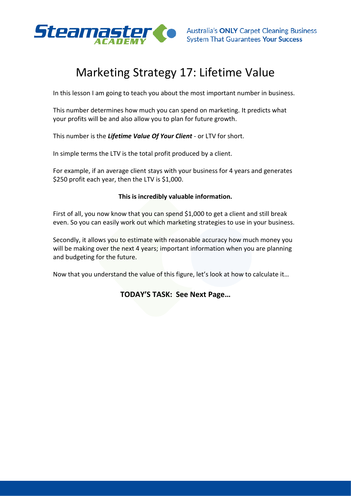

## Marketing Strategy 17: Lifetime Value

In this lesson I am going to teach you about the most important number in business.

This number determines how much you can spend on marketing. It predicts what your profits will be and also allow you to plan for future growth.

This number is the *Lifetime Value Of Your Client* - or LTV for short.

In simple terms the LTV is the total profit produced by a client.

For example, if an average client stays with your business for 4 years and generates \$250 profit each year, then the LTV is \$1,000.

## **This is incredibly valuable information.**

First of all, you now know that you can spend \$1,000 to get a client and still break even. So you can easily work out which marketing strategies to use in your business.

Secondly, it allows you to estimate with reasonable accuracy how much money you will be making over the next 4 years; important information when you are planning and budgeting for the future.

Now that you understand the value of this figure, let's look at how to calculate it…

## **TODAY'S TASK: See Next Page…**